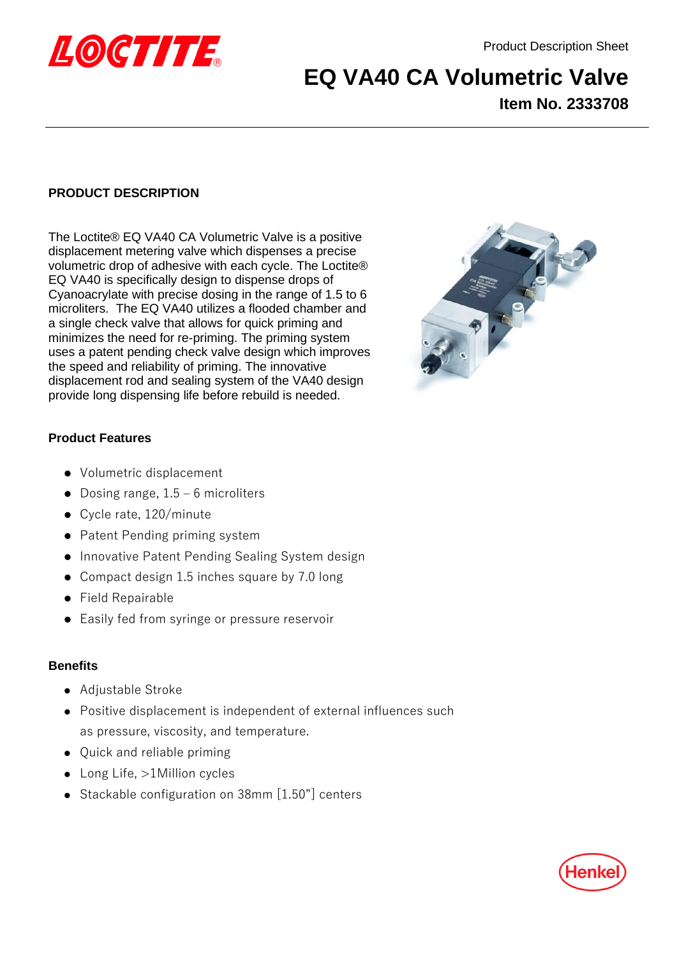

# **EQ VA40 CA Volumetric Valve Item No. 2333708**

# **PRODUCT DESCRIPTION**

The Loctite® EQ VA40 CA Volumetric Valve is a positive displacement metering valve which dispenses a precise volumetric drop of adhesive with each cycle. The Loctite® EQ VA40 is specifically design to dispense drops of Cyanoacrylate with precise dosing in the range of 1.5 to 6 microliters. The EQ VA40 utilizes a flooded chamber and a single check valve that allows for quick priming and minimizes the need for re-priming. The priming system uses a patent pending check valve design which improves the speed and reliability of priming. The innovative displacement rod and sealing system of the VA40 design provide long dispensing life before rebuild is needed.



## **Product Features**

- ⚫ Volumetric displacement
- Dosing range,  $1.5 6$  microliters
- ⚫ Cycle rate, 120/minute
- Patent Pending priming system
- ⚫ Innovative Patent Pending Sealing System design
- Compact design 1.5 inches square by 7.0 long
- ⚫ Field Repairable
- Easily fed from syringe or pressure reservoir

## **Benefits**

- ⚫ Adjustable Stroke
- ⚫ Positive displacement is independent of external influences such as pressure, viscosity, and temperature.
- ⚫ Quick and reliable priming
- ⚫ Long Life, >1Million cycles
- ⚫ Stackable configuration on 38mm [1.50"] centers